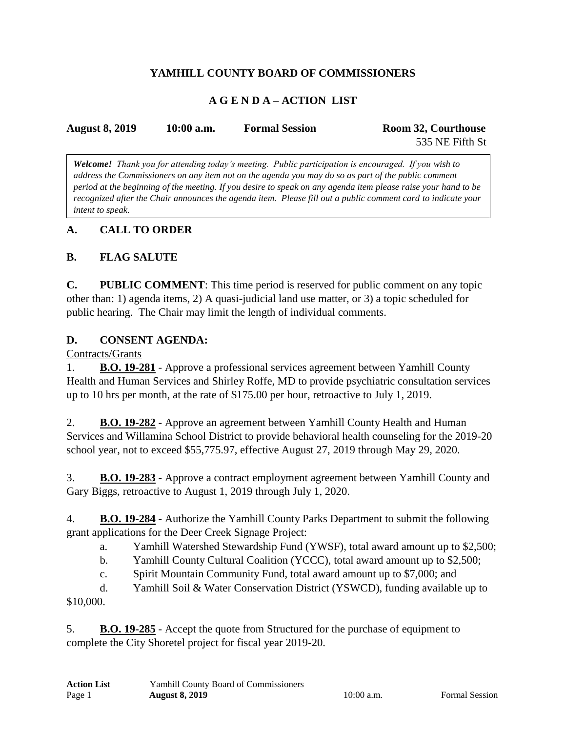# **YAMHILL COUNTY BOARD OF COMMISSIONERS**

# **A G E N D A – ACTION LIST**

| <b>August 8, 2019</b> | $10:00$ a.m. | <b>Formal Session</b> | Room 32, Courthouse |
|-----------------------|--------------|-----------------------|---------------------|
|                       |              |                       | 535 NE Fifth St     |

*Welcome! Thank you for attending today's meeting. Public participation is encouraged. If you wish to address the Commissioners on any item not on the agenda you may do so as part of the public comment period at the beginning of the meeting. If you desire to speak on any agenda item please raise your hand to be recognized after the Chair announces the agenda item. Please fill out a public comment card to indicate your intent to speak.*

### **A. CALL TO ORDER**

### **B. FLAG SALUTE**

**C. PUBLIC COMMENT**: This time period is reserved for public comment on any topic other than: 1) agenda items, 2) A quasi-judicial land use matter, or 3) a topic scheduled for public hearing. The Chair may limit the length of individual comments.

#### **D. CONSENT AGENDA:**

Contracts/Grants

1. **B.O. 19-281** - Approve a professional services agreement between Yamhill County Health and Human Services and Shirley Roffe, MD to provide psychiatric consultation services up to 10 hrs per month, at the rate of \$175.00 per hour, retroactive to July 1, 2019.

2. **B.O. 19-282** - Approve an agreement between Yamhill County Health and Human Services and Willamina School District to provide behavioral health counseling for the 2019-20 school year, not to exceed \$55,775.97, effective August 27, 2019 through May 29, 2020.

3. **B.O. 19-283** - Approve a contract employment agreement between Yamhill County and Gary Biggs, retroactive to August 1, 2019 through July 1, 2020.

4. **B.O. 19-284** - Authorize the Yamhill County Parks Department to submit the following grant applications for the Deer Creek Signage Project:

a. Yamhill Watershed Stewardship Fund (YWSF), total award amount up to \$2,500;

b. Yamhill County Cultural Coalition (YCCC), total award amount up to \$2,500;

c. Spirit Mountain Community Fund, total award amount up to \$7,000; and

d. Yamhill Soil & Water Conservation District (YSWCD), funding available up to \$10,000.

5. **B.O. 19-285** - Accept the quote from Structured for the purchase of equipment to complete the City Shoretel project for fiscal year 2019-20.